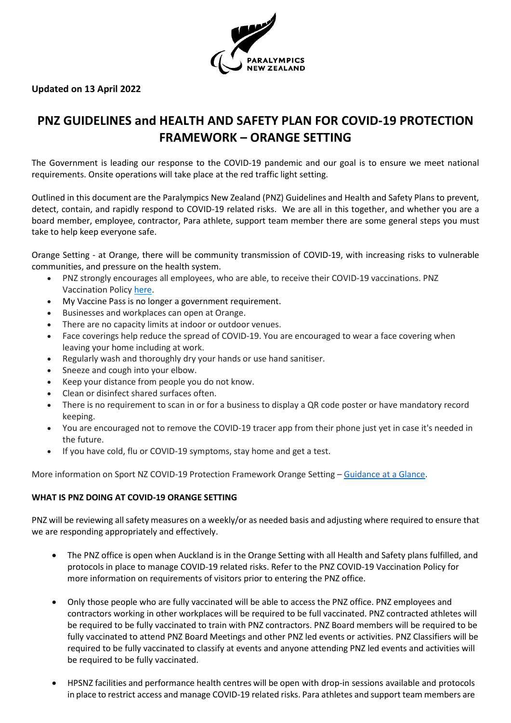

# **Updated on 13 April 2022**

# **PNZ GUIDELINES and HEALTH AND SAFETY PLAN FOR COVID-19 PROTECTION FRAMEWORK – ORANGE SETTING**

The Government is leading our response to the COVID-19 pandemic and our goal is to ensure we meet national requirements. Onsite operations will take place at the red traffic light setting.

Outlined in this document are the Paralympics New Zealand (PNZ) Guidelines and Health and Safety Plans to prevent, detect, contain, and rapidly respond to COVID-19 related risks. We are all in this together, and whether you are a board member, employee, contractor, Para athlete, support team member there are some general steps you must take to help keep everyone safe.

Orange Setting - at Orange, there will be community transmission of COVID-19, with increasing risks to vulnerable communities, and pressure on the health system.

- PNZ strongly encourages all employees, who are able, to receive their COVID-19 vaccinations. PNZ Vaccination Policy [here.](https://paralympics.org.nz/wp-content/uploads/2021/12/PNZ-COVID-19-VACCINATION-POLICY.pdf)
- My Vaccine Pass is no longer a government requirement.
- Businesses and workplaces can open at Orange.
- There are no capacity limits at indoor or outdoor venues.
- Face coverings help reduce the spread of COVID-19. You are encouraged to wear a face covering when leaving your home including at work.
- Regularly wash and thoroughly dry your hands or use hand sanitiser.
- Sneeze and cough into your elbow.
- Keep your distance from people you do not know.
- Clean or disinfect shared surfaces often.
- There is no requirement to scan in or for a business to display a QR code poster or have mandatory record keeping.
- You are encouraged not to remove the COVID-19 tracer app from their phone just yet in case it's needed in the future.
- If you have cold, flu or COVID-19 symptoms, stay home and get a test.

More information on Sport NZ COVID-19 Protection Framework Orange Setting – [Guidance at a Glance.](https://sportnz.org.nz/covid-19-response/covid-19-protection-framework/)

#### **WHAT IS PNZ DOING AT COVID-19 ORANGE SETTING**

PNZ will be reviewing all safety measures on a weekly/or as needed basis and adjusting where required to ensure that we are responding appropriately and effectively.

- The PNZ office is open when Auckland is in the Orange Setting with all Health and Safety plans fulfilled, and protocols in place to manage COVID-19 related risks. Refer to the PNZ COVID-19 Vaccination Policy for more information on requirements of visitors prior to entering the PNZ office.
- Only those people who are fully vaccinated will be able to access the PNZ office. PNZ employees and contractors working in other workplaces will be required to be full vaccinated. PNZ contracted athletes will be required to be fully vaccinated to train with PNZ contractors. PNZ Board members will be required to be fully vaccinated to attend PNZ Board Meetings and other PNZ led events or activities. PNZ Classifiers will be required to be fully vaccinated to classify at events and anyone attending PNZ led events and activities will be required to be fully vaccinated.
- HPSNZ facilities and performance health centres will be open with drop-in sessions available and protocols in place to restrict access and manage COVID-19 related risks. Para athletes and support team members are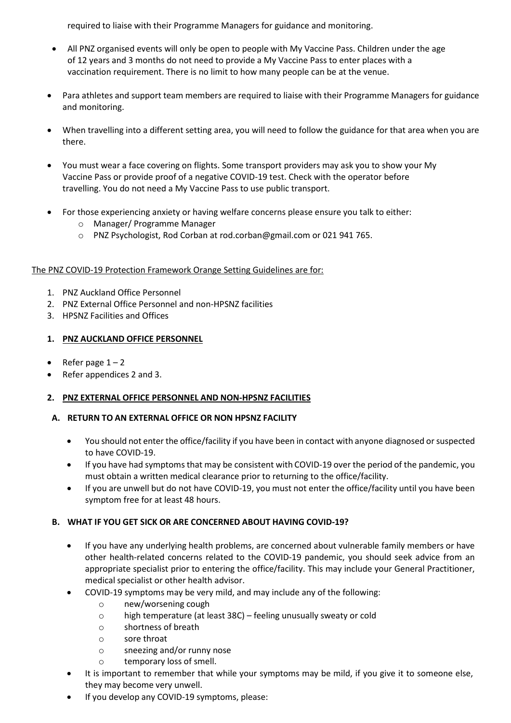required to liaise with their Programme Managers for guidance and monitoring.

- All PNZ organised events will only be open to people with My Vaccine Pass. Children under the age of 12 years and 3 months do not need to provide a My Vaccine Pass to enter places with a vaccination requirement. There is no limit to how many people can be at the venue.
- Para athletes and support team members are required to liaise with their Programme Managers for guidance and monitoring.
- When travelling into a different setting area, you will need to follow the guidance for that area when you are there.
- You must wear a face covering on flights. Some transport providers may ask you to show your My Vaccine Pass or provide proof of a negative COVID-19 test. Check with the operator before travelling. You do not need a My Vaccine Pass to use public transport.
- For those experiencing anxiety or having welfare concerns please ensure you talk to either:
	- o Manager/ Programme Manager
	- o PNZ Psychologist, Rod Corban at rod.corban@gmail.com or 021 941 765.

# The PNZ COVID-19 Protection Framework Orange Setting Guidelines are for:

- 1. PNZ Auckland Office Personnel
- 2. PNZ External Office Personnel and non-HPSNZ facilities
- 3. HPSNZ Facilities and Offices

# **1. PNZ AUCKLAND OFFICE PERSONNEL**

- Refer page  $1 2$
- Refer appendices 2 and 3.

## **2. PNZ EXTERNAL OFFICE PERSONNEL AND NON-HPSNZ FACILITIES**

## **A. RETURN TO AN EXTERNAL OFFICE OR NON HPSNZ FACILITY**

- You should not enter the office/facility if you have been in contact with anyone diagnosed or suspected to have COVID-19.
- If you have had symptoms that may be consistent with COVID-19 over the period of the pandemic, you must obtain a written medical clearance prior to returning to the office/facility.
- If you are unwell but do not have COVID-19, you must not enter the office/facility until you have been symptom free for at least 48 hours.

## **B. WHAT IF YOU GET SICK OR ARE CONCERNED ABOUT HAVING COVID-19?**

- If you have any underlying health problems, are concerned about vulnerable family members or have other health-related concerns related to the COVID-19 pandemic, you should seek advice from an appropriate specialist prior to entering the office/facility. This may include your General Practitioner, medical specialist or other health advisor.
- COVID-19 symptoms may be very mild, and may include any of the following:
	- o new/worsening cough
	- o high temperature (at least 38C) feeling unusually sweaty or cold
	- o shortness of breath
	- o sore throat
	- o sneezing and/or runny nose
	- o temporary loss of smell.
- It is important to remember that while your symptoms may be mild, if you give it to someone else, they may become very unwell.
- If you develop any COVID-19 symptoms, please: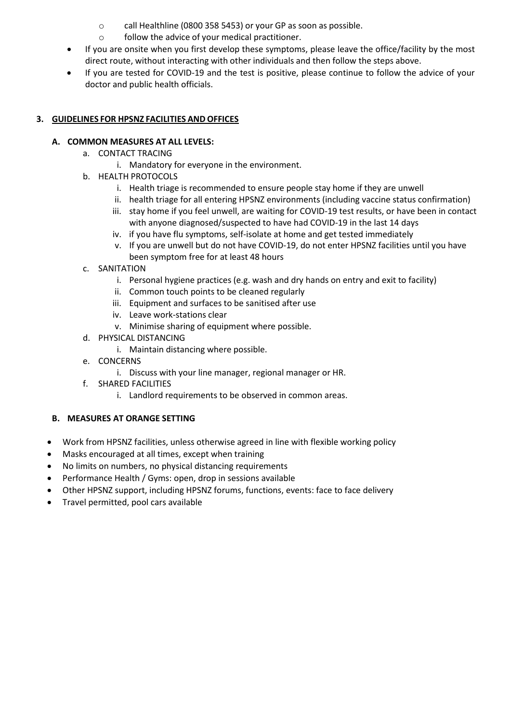- o call Healthline (0800 358 5453) or your GP as soon as possible.
- o follow the advice of your medical practitioner.
- If you are onsite when you first develop these symptoms, please leave the office/facility by the most direct route, without interacting with other individuals and then follow the steps above.
- If you are tested for COVID-19 and the test is positive, please continue to follow the advice of your doctor and public health officials.

#### **3. GUIDELINES FOR HPSNZ FACILITIES AND OFFICES**

#### **A. COMMON MEASURES AT ALL LEVELS:**

- a. CONTACT TRACING
	- i. Mandatory for everyone in the environment.
- b. HEALTH PROTOCOLS
	- i. Health triage is recommended to ensure people stay home if they are unwell
	- ii. health triage for all entering HPSNZ environments (including vaccine status confirmation)
	- iii. stay home if you feel unwell, are waiting for COVID-19 test results, or have been in contact with anyone diagnosed/suspected to have had COVID-19 in the last 14 days
	- iv. if you have flu symptoms, self-isolate at home and get tested immediately
	- v. If you are unwell but do not have COVID-19, do not enter HPSNZ facilities until you have been symptom free for at least 48 hours
- c. SANITATION
	- i. Personal hygiene practices (e.g. wash and dry hands on entry and exit to facility)
	- ii. Common touch points to be cleaned regularly
	- iii. Equipment and surfaces to be sanitised after use
	- iv. Leave work-stations clear
	- v. Minimise sharing of equipment where possible.
- d. PHYSICAL DISTANCING
	- i. Maintain distancing where possible.
- e. CONCERNS
	- i. Discuss with your line manager, regional manager or HR.
- f. SHARED FACILITIES
	- i. Landlord requirements to be observed in common areas.

## **B. MEASURES AT ORANGE SETTING**

- Work from HPSNZ facilities, unless otherwise agreed in line with flexible working policy
- Masks encouraged at all times, except when training
- No limits on numbers, no physical distancing requirements
- Performance Health / Gyms: open, drop in sessions available
- Other HPSNZ support, including HPSNZ forums, functions, events: face to face delivery
- Travel permitted, pool cars available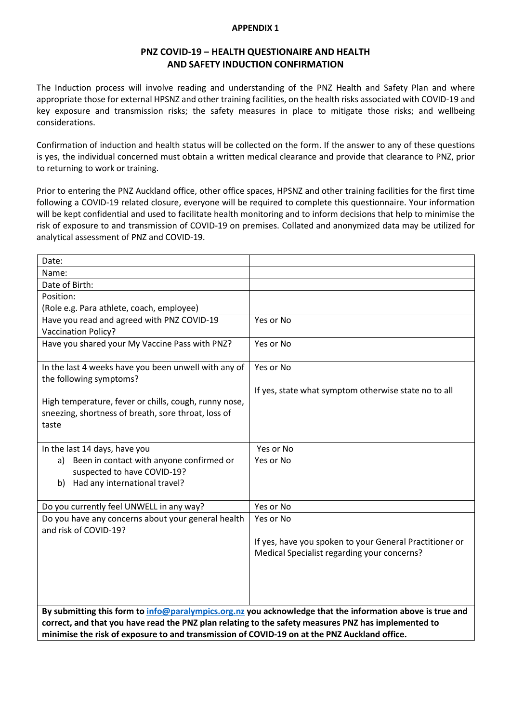#### **APPENDIX 1**

# **PNZ COVID-19 – HEALTH QUESTIONAIRE AND HEALTH AND SAFETY INDUCTION CONFIRMATION**

The Induction process will involve reading and understanding of the PNZ Health and Safety Plan and where appropriate those for external HPSNZ and other training facilities, on the health risks associated with COVID-19 and key exposure and transmission risks; the safety measures in place to mitigate those risks; and wellbeing considerations.

Confirmation of induction and health status will be collected on the form. If the answer to any of these questions is yes, the individual concerned must obtain a written medical clearance and provide that clearance to PNZ, prior to returning to work or training.

Prior to entering the PNZ Auckland office, other office spaces, HPSNZ and other training facilities for the first time following a COVID-19 related closure, everyone will be required to complete this questionnaire. Your information will be kept confidential and used to facilitate health monitoring and to inform decisions that help to minimise the risk of exposure to and transmission of COVID-19 on premises. Collated and anonymized data may be utilized for analytical assessment of PNZ and COVID-19.

| Date:                                                                                                                                                                                                                                                                                                            |                                                                                                        |  |  |  |
|------------------------------------------------------------------------------------------------------------------------------------------------------------------------------------------------------------------------------------------------------------------------------------------------------------------|--------------------------------------------------------------------------------------------------------|--|--|--|
| Name:                                                                                                                                                                                                                                                                                                            |                                                                                                        |  |  |  |
| Date of Birth:                                                                                                                                                                                                                                                                                                   |                                                                                                        |  |  |  |
| Position:                                                                                                                                                                                                                                                                                                        |                                                                                                        |  |  |  |
| (Role e.g. Para athlete, coach, employee)                                                                                                                                                                                                                                                                        |                                                                                                        |  |  |  |
| Have you read and agreed with PNZ COVID-19<br><b>Vaccination Policy?</b>                                                                                                                                                                                                                                         | Yes or No                                                                                              |  |  |  |
| Have you shared your My Vaccine Pass with PNZ?                                                                                                                                                                                                                                                                   | Yes or No                                                                                              |  |  |  |
| In the last 4 weeks have you been unwell with any of<br>the following symptoms?                                                                                                                                                                                                                                  | Yes or No                                                                                              |  |  |  |
| High temperature, fever or chills, cough, runny nose,<br>sneezing, shortness of breath, sore throat, loss of                                                                                                                                                                                                     | If yes, state what symptom otherwise state no to all                                                   |  |  |  |
| taste                                                                                                                                                                                                                                                                                                            |                                                                                                        |  |  |  |
| In the last 14 days, have you                                                                                                                                                                                                                                                                                    | Yes or No                                                                                              |  |  |  |
| Been in contact with anyone confirmed or<br>a)<br>suspected to have COVID-19?<br>Had any international travel?<br>b)                                                                                                                                                                                             | Yes or No                                                                                              |  |  |  |
| Do you currently feel UNWELL in any way?                                                                                                                                                                                                                                                                         | Yes or No                                                                                              |  |  |  |
| Do you have any concerns about your general health<br>and risk of COVID-19?                                                                                                                                                                                                                                      | Yes or No                                                                                              |  |  |  |
|                                                                                                                                                                                                                                                                                                                  | If yes, have you spoken to your General Practitioner or<br>Medical Specialist regarding your concerns? |  |  |  |
|                                                                                                                                                                                                                                                                                                                  |                                                                                                        |  |  |  |
| By submitting this form to info@paralympics.org.nz you acknowledge that the information above is true and<br>correct, and that you have read the PNZ plan relating to the safety measures PNZ has implemented to<br>minimise the risk of exposure to and transmission of COVID-19 on at the PNZ Auckland office. |                                                                                                        |  |  |  |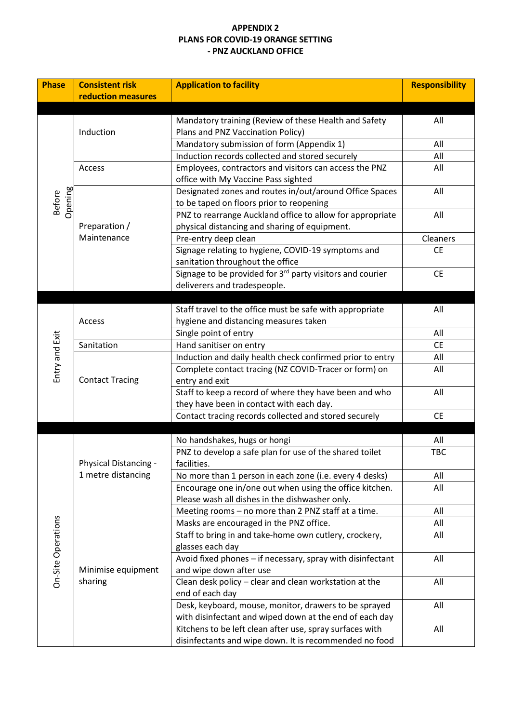#### **APPENDIX 2 PLANS FOR COVID-19 ORANGE SETTING - PNZ AUCKLAND OFFICE**

| <b>Phase</b>       | <b>Consistent risk</b> | <b>Application to facility</b>                                        | <b>Responsibility</b> |
|--------------------|------------------------|-----------------------------------------------------------------------|-----------------------|
|                    | reduction measures     |                                                                       |                       |
|                    |                        | Mandatory training (Review of these Health and Safety                 | All                   |
|                    | Induction              | Plans and PNZ Vaccination Policy)                                     |                       |
|                    |                        | Mandatory submission of form (Appendix 1)                             | All                   |
|                    |                        | Induction records collected and stored securely                       | All                   |
|                    | Access                 | Employees, contractors and visitors can access the PNZ                | All                   |
|                    |                        | office with My Vaccine Pass sighted                                   |                       |
|                    |                        | Designated zones and routes in/out/around Office Spaces               | All                   |
| <b>Before</b>      |                        | to be taped on floors prior to reopening                              |                       |
| Opening            |                        | PNZ to rearrange Auckland office to allow for appropriate             | All                   |
|                    | Preparation /          | physical distancing and sharing of equipment.                         |                       |
|                    | Maintenance            | Pre-entry deep clean                                                  | Cleaners              |
|                    |                        | Signage relating to hygiene, COVID-19 symptoms and                    | <b>CE</b>             |
|                    |                        | sanitation throughout the office                                      |                       |
|                    |                        | Signage to be provided for 3 <sup>rd</sup> party visitors and courier | <b>CE</b>             |
|                    |                        | deliverers and tradespeople.                                          |                       |
|                    |                        |                                                                       |                       |
|                    |                        | Staff travel to the office must be safe with appropriate              | All                   |
|                    | Access                 | hygiene and distancing measures taken                                 |                       |
|                    |                        | Single point of entry                                                 | All                   |
|                    | Sanitation             | Hand sanitiser on entry                                               | <b>CE</b>             |
|                    |                        | Induction and daily health check confirmed prior to entry             | All                   |
| Entry and Exit     |                        | Complete contact tracing (NZ COVID-Tracer or form) on                 | All                   |
|                    | <b>Contact Tracing</b> | entry and exit                                                        |                       |
|                    |                        | Staff to keep a record of where they have been and who                | All                   |
|                    |                        | they have been in contact with each day.                              |                       |
|                    |                        | Contact tracing records collected and stored securely                 | <b>CE</b>             |
|                    |                        |                                                                       |                       |
|                    |                        | No handshakes, hugs or hongi                                          | All                   |
|                    |                        | PNZ to develop a safe plan for use of the shared toilet               | <b>TBC</b>            |
|                    | Physical Distancing -  | facilities.                                                           |                       |
|                    | 1 metre distancing     | No more than 1 person in each zone (i.e. every 4 desks)               | All                   |
|                    |                        | Encourage one in/one out when using the office kitchen.               | All                   |
|                    |                        | Please wash all dishes in the dishwasher only.                        |                       |
|                    |                        | Meeting rooms - no more than 2 PNZ staff at a time.                   | All                   |
|                    |                        | Masks are encouraged in the PNZ office.                               | All                   |
|                    |                        | Staff to bring in and take-home own cutlery, crockery,                | All                   |
|                    |                        | glasses each day                                                      |                       |
| On-Site Operations |                        | Avoid fixed phones - if necessary, spray with disinfectant            | All                   |
|                    | Minimise equipment     | and wipe down after use                                               |                       |
|                    | sharing                | Clean desk policy - clear and clean workstation at the                | All                   |
|                    |                        | end of each day                                                       |                       |
|                    |                        | Desk, keyboard, mouse, monitor, drawers to be sprayed                 | All                   |
|                    |                        | with disinfectant and wiped down at the end of each day               |                       |
|                    |                        | Kitchens to be left clean after use, spray surfaces with              | All                   |
|                    |                        | disinfectants and wipe down. It is recommended no food                |                       |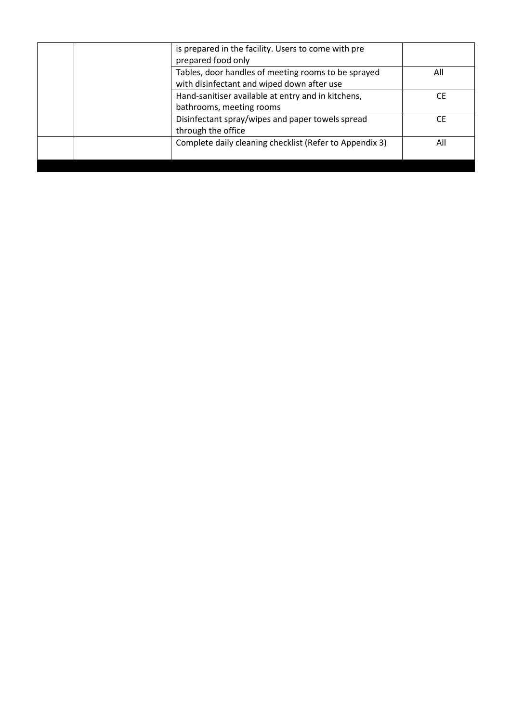|  |                          | is prepared in the facility. Users to come with pre     |     |
|--|--------------------------|---------------------------------------------------------|-----|
|  |                          | prepared food only                                      |     |
|  |                          | Tables, door handles of meeting rooms to be sprayed     | All |
|  |                          | with disinfectant and wiped down after use              |     |
|  |                          | Hand-sanitiser available at entry and in kitchens,      | CF  |
|  | bathrooms, meeting rooms |                                                         |     |
|  |                          | Disinfectant spray/wipes and paper towels spread        | CF. |
|  |                          | through the office                                      |     |
|  |                          | Complete daily cleaning checklist (Refer to Appendix 3) | All |
|  |                          |                                                         |     |
|  |                          |                                                         |     |